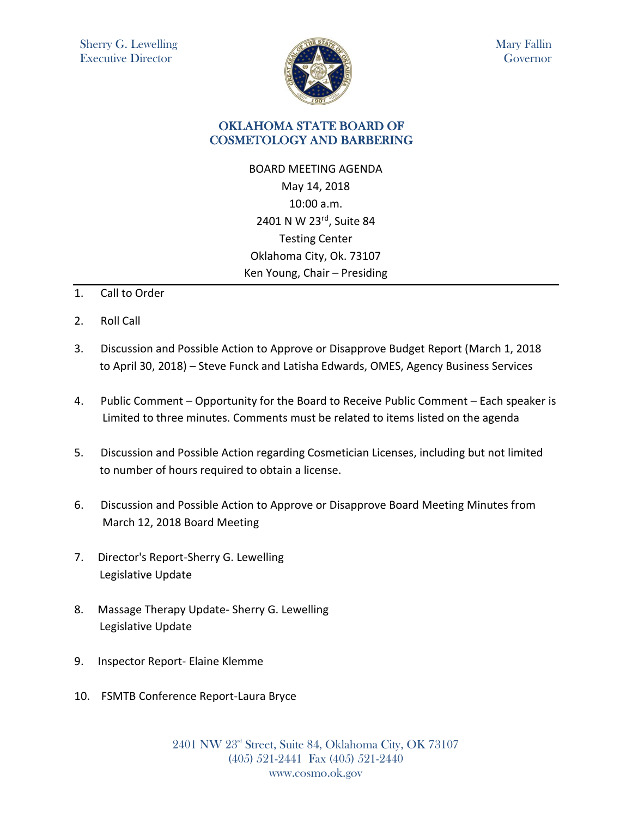

Mary Fallin Governor

## OKLAHOMA STATE BOARD OF COSMETOLOGY AND BARBERING

BOARD MEETING AGENDA May 14, 2018 10:00 a.m. 2401 N W 23rd, Suite 84 Testing Center Oklahoma City, Ok. 73107 Ken Young, Chair – Presiding

- 1. Call to Order
- 2. Roll Call
- 3. Discussion and Possible Action to Approve or Disapprove Budget Report (March 1, 2018 to April 30, 2018) – Steve Funck and Latisha Edwards, OMES, Agency Business Services
- 4. Public Comment Opportunity for the Board to Receive Public Comment Each speaker is Limited to three minutes. Comments must be related to items listed on the agenda
- 5. Discussion and Possible Action regarding Cosmetician Licenses, including but not limited to number of hours required to obtain a license.
- 6. Discussion and Possible Action to Approve or Disapprove Board Meeting Minutes from March 12, 2018 Board Meeting
- 7. Director's Report-Sherry G. Lewelling Legislative Update
- 8. Massage Therapy Update- Sherry G. Lewelling Legislative Update
- 9. Inspector Report- Elaine Klemme
- 10. FSMTB Conference Report-Laura Bryce

2401 NW 23rd Street, Suite 84, Oklahoma City, OK 73107 (405) 521-2441 Fax (405) 521-2440 www.cosmo.ok.gov